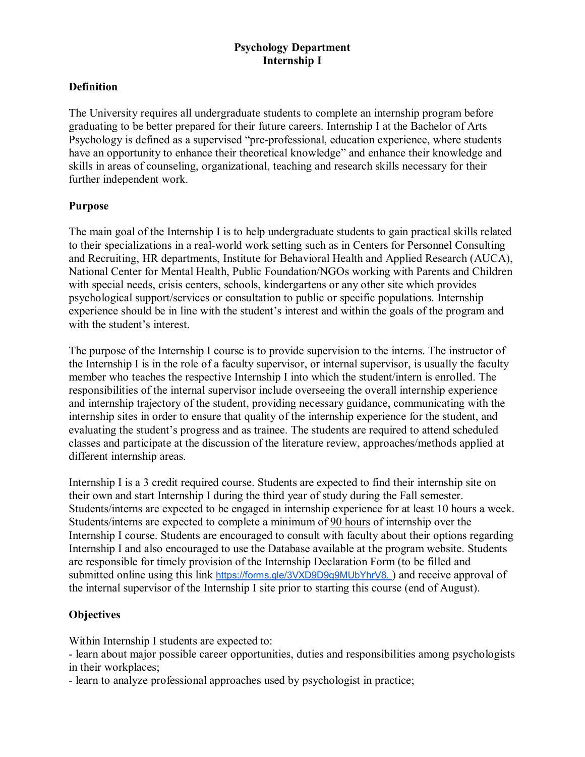# **Psychology Department Internship I**

### **Definition**

The University requires all undergraduate students to complete an internship program before graduating to be better prepared for their future careers. Internship I at the Bachelor of Arts Psychology is defined as a supervised "pre-professional, education experience, where students have an opportunity to enhance their theoretical knowledge" and enhance their knowledge and skills in areas of counseling, organizational, teaching and research skills necessary for their further independent work.

#### **Purpose**

The main goal of the Internship I is to help undergraduate students to gain practical skills related to their specializations in a real-world work setting such as in Centers for Personnel Consulting and Recruiting, HR departments, Institute for Behavioral Health and Applied Research (AUCA), National Center for Mental Health, Public Foundation/NGOs working with Parents and Children with special needs, crisis centers, schools, kindergartens or any other site which provides psychological support/services or consultation to public or specific populations. Internship experience should be in line with the student's interest and within the goals of the program and with the student's interest.

The purpose of the Internship I course is to provide supervision to the interns. The instructor of the Internship I is in the role of a faculty supervisor, or internal supervisor, is usually the faculty member who teaches the respective Internship I into which the student/intern is enrolled. The responsibilities of the internal supervisor include overseeing the overall internship experience and internship trajectory of the student, providing necessary guidance, communicating with the internship sites in order to ensure that quality of the internship experience for the student, and evaluating the student's progress and as trainee. The students are required to attend scheduled classes and participate at the discussion of the literature review, approaches/methods applied at different internship areas.

Internship I is a 3 credit required course. Students are expected to find their internship site on their own and start Internship I during the third year of study during the Fall semester. Students/interns are expected to be engaged in internship experience for at least 10 hours a week. Students/interns are expected to complete a minimum of 90 hours of internship over the Internship I course. Students are encouraged to consult with faculty about their options regarding Internship I and also encouraged to use the Database available at the program website. Students are responsible for timely provision of the Internship Declaration Form (to be filled and submitted online using this link [https://forms.gle/3VXD9D9g9MUbYhrV8.](https://forms.gle/3VXD9D9g9MUbYhrV8) ) and receive approval of the internal supervisor of the Internship I site prior to starting this course (end of August).

### **Objectives**

Within Internship I students are expected to:

- learn about major possible career opportunities, duties and responsibilities among psychologists in their workplaces;

- learn to analyze professional approaches used by psychologist in practice;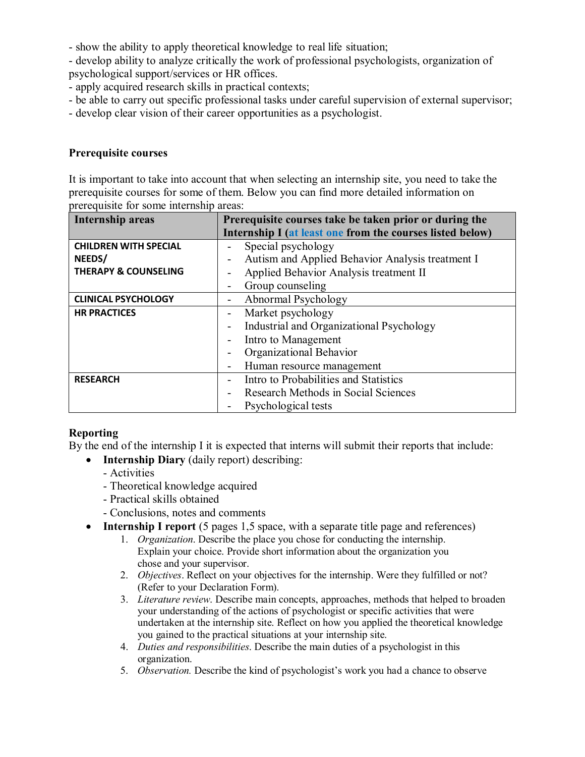- show the ability to apply theoretical knowledge to real life situation;

- develop ability to analyze critically the work of professional psychologists, organization of psychological support/services or HR offices.

- apply acquired research skills in practical contexts;

- be able to carry out specific professional tasks under careful supervision of external supervisor;

- develop clear vision of their career opportunities as a psychologist.

### **Prerequisite courses**

It is important to take into account that when selecting an internship site, you need to take the prerequisite courses for some of them. Below you can find more detailed information on prerequisite for some internship areas:

| Internship areas                | Prerequisite courses take be taken prior or during the    |
|---------------------------------|-----------------------------------------------------------|
|                                 | Internship I (at least one from the courses listed below) |
| <b>CHILDREN WITH SPECIAL</b>    | Special psychology                                        |
| NEEDS/                          | Autism and Applied Behavior Analysis treatment I          |
| <b>THERAPY &amp; COUNSELING</b> | Applied Behavior Analysis treatment II                    |
|                                 | Group counseling                                          |
| <b>CLINICAL PSYCHOLOGY</b>      | Abnormal Psychology                                       |
| <b>HR PRACTICES</b>             | Market psychology                                         |
|                                 | Industrial and Organizational Psychology                  |
|                                 | Intro to Management                                       |
|                                 | Organizational Behavior                                   |
|                                 | Human resource management                                 |
| <b>RESEARCH</b>                 | Intro to Probabilities and Statistics                     |
|                                 | Research Methods in Social Sciences                       |
|                                 | Psychological tests                                       |

# **Reporting**

By the end of the internship I it is expected that interns will submit their reports that include:

- **Internship Diary** (daily report) describing:
	- Activities
	- Theoretical knowledge acquired
	- Practical skills obtained
	- Conclusions, notes and comments
- **Internship I report** (5 pages 1,5 space, with a separate title page and references)
	- 1. *Organization*. Describe the place you chose for conducting the internship. Explain your choice. Provide short information about the organization you chose and your supervisor.
	- 2. *Objectives*. Reflect on your objectives for the internship. Were they fulfilled or not? (Refer to your Declaration Form).
	- 3. *Literature review*. Describe main concepts, approaches, methods that helped to broaden your understanding of the actions of psychologist or specific activities that were undertaken at the internship site. Reflect on how you applied the theoretical knowledge you gained to the practical situations at your internship site.
	- 4. *Duties and responsibilities*. Describe the main duties of a psychologist in this organization.
	- 5. *Observation.* Describe the kind of psychologist's work you had a chance to observe